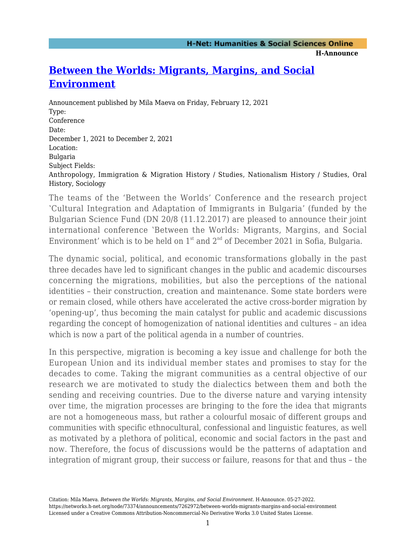## **H-Announce**

## **[Between the Worlds: Migrants, Margins, and Social](https://networks.h-net.org/node/73374/announcements/7262972/between-worlds-migrants-margins-and-social-environment) [Environment](https://networks.h-net.org/node/73374/announcements/7262972/between-worlds-migrants-margins-and-social-environment)**

Announcement published by Mila Maeva on Friday, February 12, 2021 Type: Conference Date: December 1, 2021 to December 2, 2021 Location: Bulgaria Subject Fields: Anthropology, Immigration & Migration History / Studies, Nationalism History / Studies, Oral History, Sociology

The teams of the 'Between the Worlds' Conference and the research project ʽCultural Integration and Adaptation of Immigrants in Bulgaria' (funded by the Bulgarian Science Fund (DN 20/8 (11.12.2017) are pleased to announce their joint international conference 'Between the Worlds: Migrants, Margins, and Social Environment' which is to be held on  $1<sup>st</sup>$  and  $2<sup>nd</sup>$  of December 2021 in Sofia, Bulgaria.

The dynamic social, political, and economic transformations globally in the past three decades have led to significant changes in the public and academic discourses concerning the migrations, mobilities, but also the perceptions of the national identities – their construction, creation and maintenance. Some state borders were or remain closed, while others have accelerated the active cross-border migration by 'opening-up', thus becoming the main catalyst for public and academic discussions regarding the concept of homogenization of national identities and cultures – an idea which is now a part of the political agenda in a number of countries.

In this perspective, migration is becoming a key issue and challenge for both the European Union and its individual member states and promises to stay for the decades to come. Taking the migrant communities as a central objective of our research we are motivated to study the dialectics between them and both the sending and receiving countries. Due to the diverse nature and varying intensity over time, the migration processes are bringing to the fore the idea that migrants are not a homogeneous mass, but rather a colourful mosaic of different groups and communities with specific ethnocultural, confessional and linguistic features, as well as motivated by a plethora of political, economic and social factors in the past and now. Therefore, the focus of discussions would be the patterns of adaptation and integration of migrant group, their success or failure, reasons for that and thus – the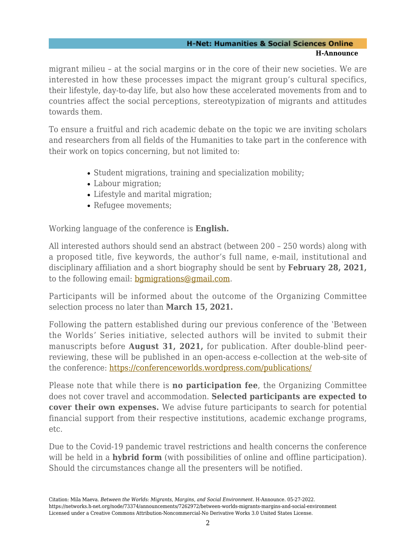## **H-Net: Humanities & Social Sciences Online H-Announce**

migrant milieu – at the social margins or in the core of their new societies. We are interested in how these processes impact the migrant group's cultural specifics, their lifestyle, day-to-day life, but also how these accelerated movements from and to countries affect the social perceptions, stereotypization of migrants and attitudes towards them.

To ensure a fruitful and rich academic debate on the topic we are inviting scholars and researchers from all fields of the Humanities to take part in the conference with their work on topics concerning, but not limited to:

- Student migrations, training and specialization mobility;
- Labour migration;
- Lifestyle and marital migration;
- Refugee movements;

Working language of the conference is **English.**

All interested authors should send an abstract (between 200 – 250 words) along with a proposed title, five keywords, the author's full name, e-mail, institutional and disciplinary affiliation and a short biography should be sent by **February 28, 2021,** to the following email: [bgmigrations@gmail.com.](https:///C:/Users/P.Hristov/AppData/Local/Temp/bgmigrations@gmail.com)

Participants will be informed about the outcome of the Organizing Committee selection process no later than **March 15, 2021.**

Following the pattern established during our previous conference of the 'Between the Worlds' Series initiative, selected authors will be invited to submit their manuscripts before **August 31, 2021,** for publication. After double-blind peerreviewing, these will be published in an open-access e-collection at the web-site of the conference:<https://conferenceworlds.wordpress.com/publications/>

Please note that while there is **no participation fee**, the Organizing Committee does not cover travel and accommodation. **Selected participants are expected to cover their own expenses.** We advise future participants to search for potential financial support from their respective institutions, academic exchange programs, etc.

Due to the Covid-19 pandemic travel restrictions and health concerns the conference will be held in a **hybrid form** (with possibilities of online and offline participation). Should the circumstances change all the presenters will be notified.